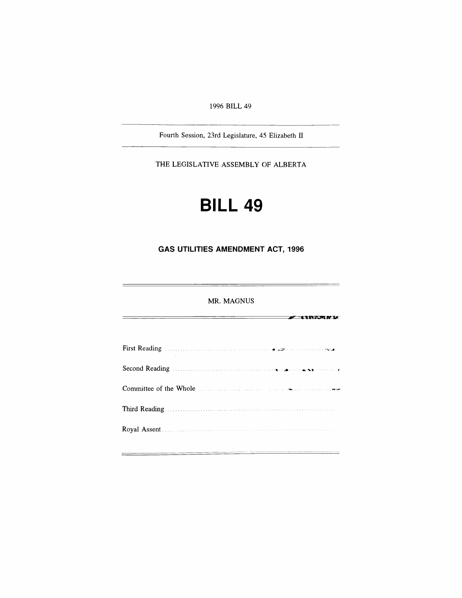*1996 BILL 49*

*Fourth Session, 23rd Legislature, 45 Elizabeth II*

*THE LEGISLATIVE ASSEMBLY OF ALBERTA*

## *BILL 49*

*GAS UTILITIES AMENDMENT ACT, 1996*

*MR. MAGNUS*

 $\overline{\phantom{a}}$  (increme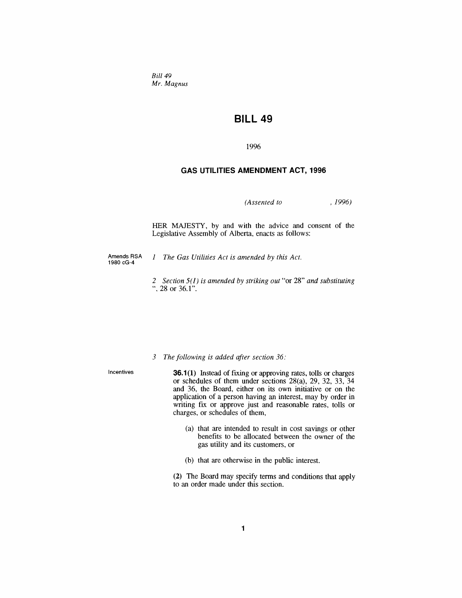*Bill 49 Mr. Magnus*

## *BILL 49*

*1996*

## *GAS UTILITIES AMENDMENT ACT, 1996*

*(Assented to , 1996)*

*HER MAJESTY, by and with the advice and consent of the Legislative Assembly of Alberta, enacts as follows:*

*Amends RSA 1980 cG-4*

*<sup>1</sup> The Gas Utilities Act is amended by this Act.*

*2 Section 5(1) is amended by striking out "or 28" and substituting ", 28 or 36.1".*

*3 The following is added after section 36:*

*Incentives 36.1(1) Instead of fixing or approving rates, tolls or charges or schedules of them under sections 28(a), 29, 32, 33, 34 and 36, the Board, either on its own initiative or on the application of a person having an interest, may by order in writing fix or approve just and reasonable rates, tolls or charges, or schedules of them,*

- *(a) that are intended to result in cost savings or other benefits to be allocated between the owner of the gas utility and its customers, or*
- *(b) that are otherwise in the public interest.*

*(2) The Board may specify terms and conditions that apply to an order made under this section.*